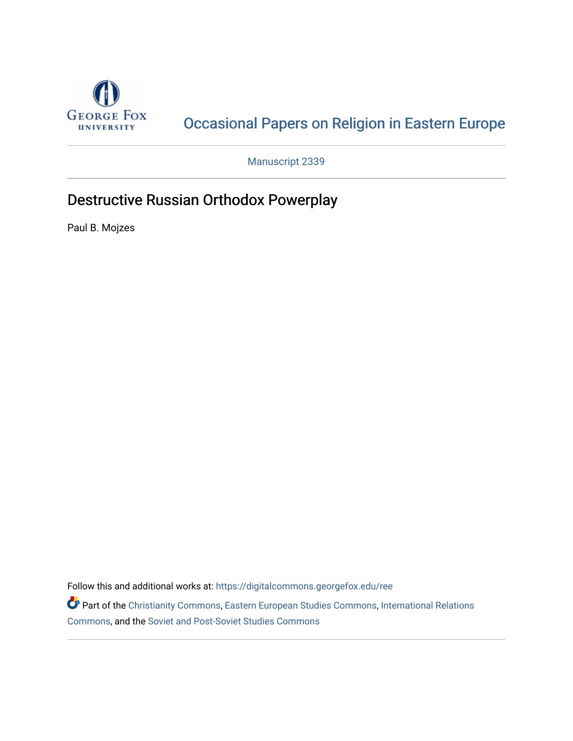

## [Occasional Papers on Religion in Eastern Europe](https://digitalcommons.georgefox.edu/ree)

Manuscript 2339

## Destructive Russian Orthodox Powerplay

Paul B. Mojzes

Follow this and additional works at: [https://digitalcommons.georgefox.edu/ree](https://digitalcommons.georgefox.edu/ree?utm_source=digitalcommons.georgefox.edu%2Free%2Fvol42%2Fiss3%2F2&utm_medium=PDF&utm_campaign=PDFCoverPages) 

Part of the [Christianity Commons,](http://network.bepress.com/hgg/discipline/1181?utm_source=digitalcommons.georgefox.edu%2Free%2Fvol42%2Fiss3%2F2&utm_medium=PDF&utm_campaign=PDFCoverPages) [Eastern European Studies Commons,](http://network.bepress.com/hgg/discipline/362?utm_source=digitalcommons.georgefox.edu%2Free%2Fvol42%2Fiss3%2F2&utm_medium=PDF&utm_campaign=PDFCoverPages) [International Relations](http://network.bepress.com/hgg/discipline/389?utm_source=digitalcommons.georgefox.edu%2Free%2Fvol42%2Fiss3%2F2&utm_medium=PDF&utm_campaign=PDFCoverPages)  [Commons](http://network.bepress.com/hgg/discipline/389?utm_source=digitalcommons.georgefox.edu%2Free%2Fvol42%2Fiss3%2F2&utm_medium=PDF&utm_campaign=PDFCoverPages), and the [Soviet and Post-Soviet Studies Commons](http://network.bepress.com/hgg/discipline/364?utm_source=digitalcommons.georgefox.edu%2Free%2Fvol42%2Fiss3%2F2&utm_medium=PDF&utm_campaign=PDFCoverPages)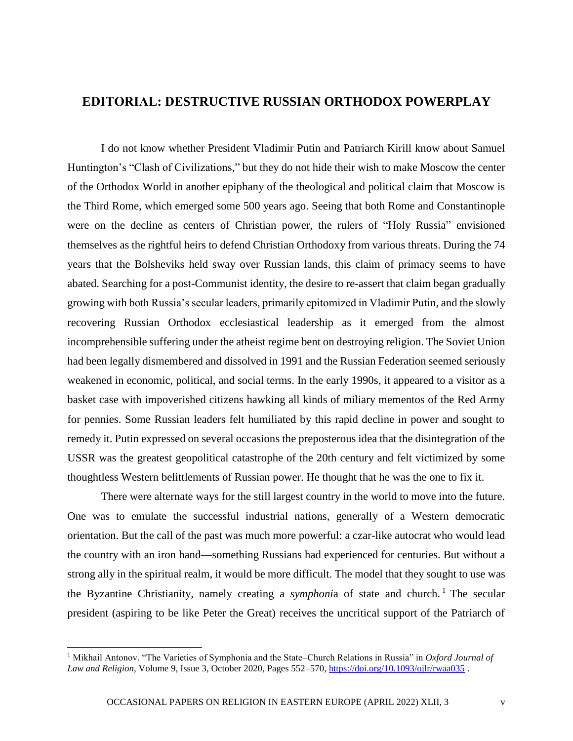## **EDITORIAL: DESTRUCTIVE RUSSIAN ORTHODOX POWERPLAY**

I do not know whether President Vladimir Putin and Patriarch Kirill know about Samuel Huntington's "Clash of Civilizations," but they do not hide their wish to make Moscow the center of the Orthodox World in another epiphany of the theological and political claim that Moscow is the Third Rome, which emerged some 500 years ago. Seeing that both Rome and Constantinople were on the decline as centers of Christian power, the rulers of "Holy Russia" envisioned themselves as the rightful heirs to defend Christian Orthodoxy from various threats. During the 74 years that the Bolsheviks held sway over Russian lands, this claim of primacy seems to have abated. Searching for a post-Communist identity, the desire to re-assert that claim began gradually growing with both Russia's secular leaders, primarily epitomized in Vladimir Putin, and the slowly recovering Russian Orthodox ecclesiastical leadership as it emerged from the almost incomprehensible suffering under the atheist regime bent on destroying religion. The Soviet Union had been legally dismembered and dissolved in 1991 and the Russian Federation seemed seriously weakened in economic, political, and social terms. In the early 1990s, it appeared to a visitor as a basket case with impoverished citizens hawking all kinds of miliary mementos of the Red Army for pennies. Some Russian leaders felt humiliated by this rapid decline in power and sought to remedy it. Putin expressed on several occasions the preposterous idea that the disintegration of the USSR was the greatest geopolitical catastrophe of the 20th century and felt victimized by some thoughtless Western belittlements of Russian power. He thought that he was the one to fix it.

There were alternate ways for the still largest country in the world to move into the future. One was to emulate the successful industrial nations, generally of a Western democratic orientation. But the call of the past was much more powerful: a czar-like autocrat who would lead the country with an iron hand—something Russians had experienced for centuries. But without a strong ally in the spiritual realm, it would be more difficult. The model that they sought to use was the Byzantine Christianity, namely creating a *symphonia* of state and church.<sup>1</sup> The secular president (aspiring to be like Peter the Great) receives the uncritical support of the Patriarch of

<sup>1</sup> Mikhail Antonov. "The Varieties of Symphonia and the State–Church Relations in Russia" in *Oxford Journal of Law and Religion*, Volume 9, Issue 3, October 2020, Pages 552–570[, https://doi.org/10.1093/ojlr/rwaa035](https://doi.org/10.1093/ojlr/rwaa035) .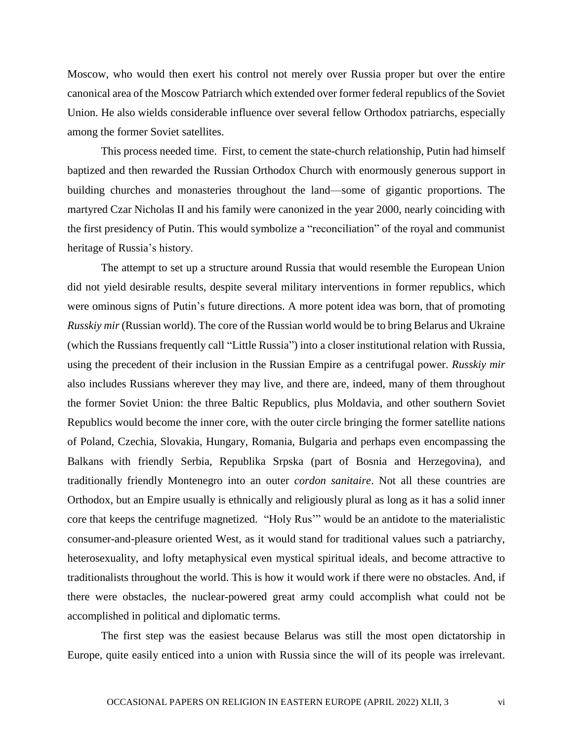Moscow, who would then exert his control not merely over Russia proper but over the entire canonical area of the Moscow Patriarch which extended over former federal republics of the Soviet Union. He also wields considerable influence over several fellow Orthodox patriarchs, especially among the former Soviet satellites.

This process needed time. First, to cement the state-church relationship, Putin had himself baptized and then rewarded the Russian Orthodox Church with enormously generous support in building churches and monasteries throughout the land—some of gigantic proportions. The martyred Czar Nicholas II and his family were canonized in the year 2000, nearly coinciding with the first presidency of Putin. This would symbolize a "reconciliation" of the royal and communist heritage of Russia's history.

The attempt to set up a structure around Russia that would resemble the European Union did not yield desirable results, despite several military interventions in former republics, which were ominous signs of Putin's future directions. A more potent idea was born, that of promoting *Russkiy mir* (Russian world). The core of the Russian world would be to bring Belarus and Ukraine (which the Russians frequently call "Little Russia") into a closer institutional relation with Russia, using the precedent of their inclusion in the Russian Empire as a centrifugal power. *Russkiy mir* also includes Russians wherever they may live, and there are, indeed, many of them throughout the former Soviet Union: the three Baltic Republics, plus Moldavia, and other southern Soviet Republics would become the inner core, with the outer circle bringing the former satellite nations of Poland, Czechia, Slovakia, Hungary, Romania, Bulgaria and perhaps even encompassing the Balkans with friendly Serbia, Republika Srpska (part of Bosnia and Herzegovina), and traditionally friendly Montenegro into an outer *cordon sanitaire*. Not all these countries are Orthodox, but an Empire usually is ethnically and religiously plural as long as it has a solid inner core that keeps the centrifuge magnetized. "Holy Rus'" would be an antidote to the materialistic consumer-and-pleasure oriented West, as it would stand for traditional values such a patriarchy, heterosexuality, and lofty metaphysical even mystical spiritual ideals, and become attractive to traditionalists throughout the world. This is how it would work if there were no obstacles. And, if there were obstacles, the nuclear-powered great army could accomplish what could not be accomplished in political and diplomatic terms.

The first step was the easiest because Belarus was still the most open dictatorship in Europe, quite easily enticed into a union with Russia since the will of its people was irrelevant.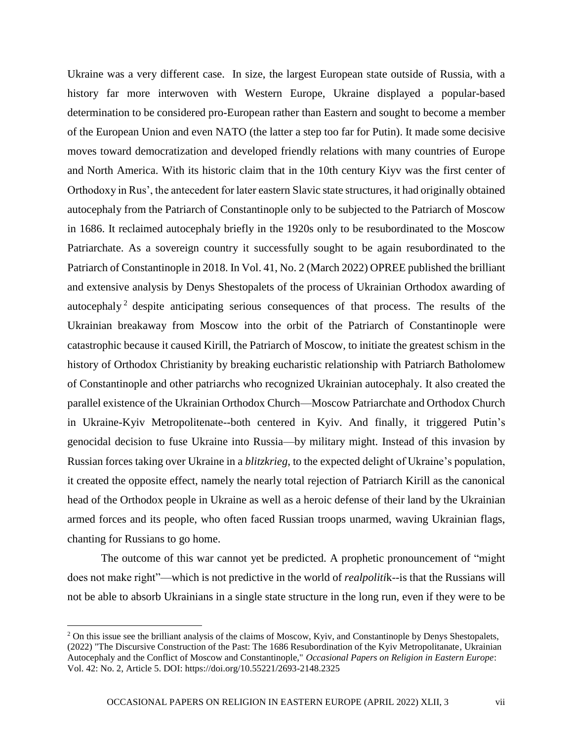Ukraine was a very different case. In size, the largest European state outside of Russia, with a history far more interwoven with Western Europe, Ukraine displayed a popular-based determination to be considered pro-European rather than Eastern and sought to become a member of the European Union and even NATO (the latter a step too far for Putin). It made some decisive moves toward democratization and developed friendly relations with many countries of Europe and North America. With its historic claim that in the 10th century Kiyv was the first center of Orthodoxy in Rus', the antecedent for later eastern Slavic state structures, it had originally obtained autocephaly from the Patriarch of Constantinople only to be subjected to the Patriarch of Moscow in 1686. It reclaimed autocephaly briefly in the 1920s only to be resubordinated to the Moscow Patriarchate. As a sovereign country it successfully sought to be again resubordinated to the Patriarch of Constantinople in 2018. In Vol. 41, No. 2 (March 2022) OPREE published the brilliant and extensive analysis by Denys Shestopalets of the process of Ukrainian Orthodox awarding of autocephaly<sup>2</sup> despite anticipating serious consequences of that process. The results of the Ukrainian breakaway from Moscow into the orbit of the Patriarch of Constantinople were catastrophic because it caused Kirill, the Patriarch of Moscow, to initiate the greatest schism in the history of Orthodox Christianity by breaking eucharistic relationship with Patriarch Batholomew of Constantinople and other patriarchs who recognized Ukrainian autocephaly. It also created the parallel existence of the Ukrainian Orthodox Church—Moscow Patriarchate and Orthodox Church in Ukraine-Kyiv Metropolitenate--both centered in Kyiv. And finally, it triggered Putin's genocidal decision to fuse Ukraine into Russia—by military might. Instead of this invasion by Russian forces taking over Ukraine in a *blitzkrieg*, to the expected delight of Ukraine's population, it created the opposite effect, namely the nearly total rejection of Patriarch Kirill as the canonical head of the Orthodox people in Ukraine as well as a heroic defense of their land by the Ukrainian armed forces and its people, who often faced Russian troops unarmed, waving Ukrainian flags, chanting for Russians to go home.

The outcome of this war cannot yet be predicted. A prophetic pronouncement of "might does not make right"—which is not predictive in the world of *realpoliti*k--is that the Russians will not be able to absorb Ukrainians in a single state structure in the long run, even if they were to be

 $\overline{a}$ 

<sup>&</sup>lt;sup>2</sup> On this issue see the brilliant analysis of the claims of Moscow, Kyiv, and Constantinople by Denys Shestopalets, (2022) "The Discursive Construction of the Past: The 1686 Resubordination of the Kyiv Metropolitanate, Ukrainian Autocephaly and the Conflict of Moscow and Constantinople," *Occasional Papers on Religion in Eastern Europe*: Vol. 42: No. 2, Article 5. DOI: https://doi.org/10.55221/2693-2148.2325